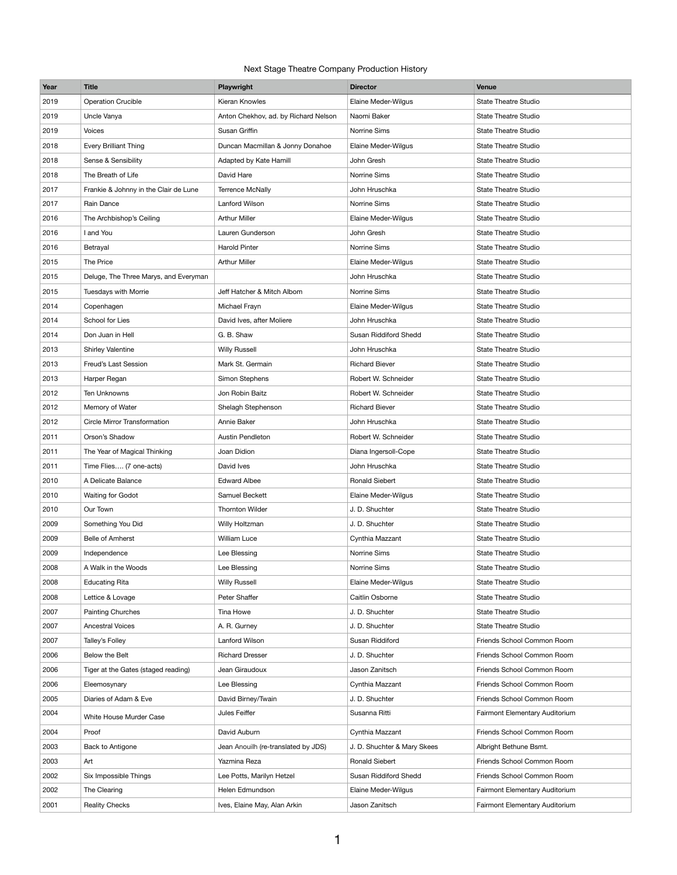## Next Stage Theatre Company Production History

| Year | <b>Title</b>                          | Playwright                           | <b>Director</b>             | <b>Venue</b>                   |
|------|---------------------------------------|--------------------------------------|-----------------------------|--------------------------------|
| 2019 | <b>Operation Crucible</b>             | Kieran Knowles                       | <b>Elaine Meder-Wilgus</b>  | <b>State Theatre Studio</b>    |
| 2019 | Uncle Vanya                           | Anton Chekhov, ad. by Richard Nelson | Naomi Baker                 | <b>State Theatre Studio</b>    |
| 2019 | <b>Voices</b>                         | Susan Griffin                        | Norrine Sims                | <b>State Theatre Studio</b>    |
| 2018 | Every Brilliant Thing                 | Duncan Macmillan & Jonny Donahoe     | Elaine Meder-Wilgus         | <b>State Theatre Studio</b>    |
| 2018 | Sense & Sensibility                   | Adapted by Kate Hamill               | John Gresh                  | <b>State Theatre Studio</b>    |
| 2018 | The Breath of Life                    | David Hare                           | Norrine Sims                | <b>State Theatre Studio</b>    |
| 2017 | Frankie & Johnny in the Clair de Lune | <b>Terrence McNally</b>              | John Hruschka               | <b>State Theatre Studio</b>    |
| 2017 | Rain Dance                            | Lanford Wilson                       | Norrine Sims                | <b>State Theatre Studio</b>    |
| 2016 | The Archbishop's Ceiling              | <b>Arthur Miller</b>                 | Elaine Meder-Wilgus         | <b>State Theatre Studio</b>    |
| 2016 | I and You                             | Lauren Gunderson                     | John Gresh                  | <b>State Theatre Studio</b>    |
| 2016 | Betrayal                              | <b>Harold Pinter</b>                 | Norrine Sims                | <b>State Theatre Studio</b>    |
| 2015 | The Price                             | <b>Arthur Miller</b>                 | Elaine Meder-Wilgus         | <b>State Theatre Studio</b>    |
| 2015 | Deluge, The Three Marys, and Everyman |                                      | John Hruschka               | <b>State Theatre Studio</b>    |
| 2015 | Tuesdays with Morrie                  | Jeff Hatcher & Mitch Albom           | Norrine Sims                | <b>State Theatre Studio</b>    |
| 2014 | Copenhagen                            | Michael Frayn                        | Elaine Meder-Wilgus         | <b>State Theatre Studio</b>    |
| 2014 | School for Lies                       | David Ives, after Moliere            | John Hruschka               | <b>State Theatre Studio</b>    |
| 2014 | Don Juan in Hell                      | G. B. Shaw                           | Susan Riddiford Shedd       | <b>State Theatre Studio</b>    |
| 2013 | <b>Shirley Valentine</b>              | <b>Willy Russell</b>                 | John Hruschka               | <b>State Theatre Studio</b>    |
| 2013 | Freud's Last Session                  | Mark St. Germain                     | <b>Richard Biever</b>       | <b>State Theatre Studio</b>    |
| 2013 | Harper Regan                          | Simon Stephens                       | Robert W. Schneider         | <b>State Theatre Studio</b>    |
| 2012 | Ten Unknowns                          | Jon Robin Baitz                      | Robert W. Schneider         | <b>State Theatre Studio</b>    |
| 2012 | Memory of Water                       | Shelagh Stephenson                   | <b>Richard Biever</b>       | <b>State Theatre Studio</b>    |
| 2012 | Circle Mirror Transformation          | Annie Baker                          | John Hruschka               | <b>State Theatre Studio</b>    |
| 2011 | Orson's Shadow                        | Austin Pendleton                     | Robert W. Schneider         | <b>State Theatre Studio</b>    |
| 2011 | The Year of Magical Thinking          | Joan Didion                          | Diana Ingersoll-Cope        | <b>State Theatre Studio</b>    |
| 2011 | Time Flies (7 one-acts)               | David Ives                           | John Hruschka               | <b>State Theatre Studio</b>    |
| 2010 | A Delicate Balance                    | <b>Edward Albee</b>                  | Ronald Siebert              | <b>State Theatre Studio</b>    |
| 2010 | Waiting for Godot                     | Samuel Beckett                       | Elaine Meder-Wilgus         | <b>State Theatre Studio</b>    |
| 2010 | Our Town                              | <b>Thornton Wilder</b>               | J. D. Shuchter              | <b>State Theatre Studio</b>    |
| 2009 | Something You Did                     | Willy Holtzman                       | J. D. Shuchter              | <b>State Theatre Studio</b>    |
| 2009 | <b>Belle of Amherst</b>               | <b>William Luce</b>                  | Cynthia Mazzant             | State Theatre Studio           |
| 2009 | Independence                          | Lee Blessing                         | Norrine Sims                | <b>State Theatre Studio</b>    |
| 2008 | A Walk in the Woods                   | Lee Blessing                         | Norrine Sims                | <b>State Theatre Studio</b>    |
| 2008 | <b>Educating Rita</b>                 | <b>Willy Russell</b>                 | Elaine Meder-Wilgus         | <b>State Theatre Studio</b>    |
| 2008 | Lettice & Lovage                      | Peter Shaffer                        | Caitlin Osborne             | <b>State Theatre Studio</b>    |
| 2007 | Painting Churches                     | Tina Howe                            | J. D. Shuchter              | <b>State Theatre Studio</b>    |
| 2007 | <b>Ancestral Voices</b>               | A. R. Gurney                         | J. D. Shuchter              | <b>State Theatre Studio</b>    |
| 2007 | Talley's Folley                       | Lanford Wilson                       | Susan Riddiford             | Friends School Common Room     |
| 2006 | Below the Belt                        | <b>Richard Dresser</b>               | J. D. Shuchter              | Friends School Common Room     |
| 2006 | Tiger at the Gates (staged reading)   | Jean Giraudoux                       | Jason Zanitsch              | Friends School Common Room     |
| 2006 | Eleemosynary                          | Lee Blessing                         | Cynthia Mazzant             | Friends School Common Room     |
| 2005 | Diaries of Adam & Eve                 | David Birney/Twain                   | J. D. Shuchter              | Friends School Common Room     |
| 2004 | White House Murder Case               | Jules Feiffer                        | Susanna Ritti               | Fairmont Elementary Auditorium |
| 2004 | Proof                                 | David Auburn                         | Cynthia Mazzant             | Friends School Common Room     |
| 2003 | Back to Antigone                      | Jean Anouilh (re-translated by JDS)  | J. D. Shuchter & Mary Skees | Albright Bethune Bsmt.         |
| 2003 | Art                                   | Yazmina Reza                         | Ronald Siebert              | Friends School Common Room     |
| 2002 | Six Impossible Things                 | Lee Potts, Marilyn Hetzel            | Susan Riddiford Shedd       | Friends School Common Room     |
| 2002 | The Clearing                          | Helen Edmundson                      | Elaine Meder-Wilgus         | Fairmont Elementary Auditorium |
|      |                                       |                                      |                             |                                |
| 2001 | <b>Reality Checks</b>                 | Ives, Elaine May, Alan Arkin         | Jason Zanitsch              | Fairmont Elementary Auditorium |

1